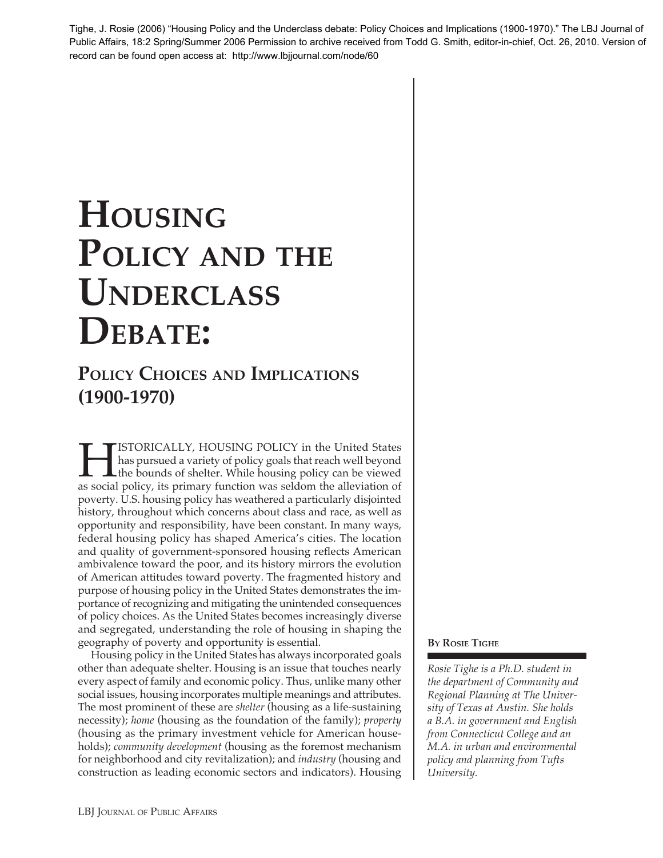Tighe, J. Rosie (2006) "Housing Policy and the Underclass debate: Policy Choices and Implications (1900-1970)." The LBJ Journal of Public Affairs, 18:2 Spring/Summer 2006 Permission to archive received from Todd G. Smith, editor-in-chief, Oct. 26, 2010. Version of record can be found open access at: http://www.lbjjournal.com/node/60

# **Housing Policy and the Underclass** DEBATE:

## **Policy Choices and Implications (1900-1970)**

**HISTORICALLY, HOUSING POLICY in the United States** has pursued a variety of policy goals that reach well beyond the bounds of shelter. While housing policy can be viewed as social policy its primary function was seldom th has pursued a variety of policy goals that reach well beyond as social policy, its primary function was seldom the alleviation of poverty. U.S. housing policy has weathered a particularly disjointed history, throughout which concerns about class and race, as well as opportunity and responsibility, have been constant. In many ways, federal housing policy has shaped America's cities. The location and quality of government-sponsored housing reflects American ambivalence toward the poor, and its history mirrors the evolution of American attitudes toward poverty. The fragmented history and purpose of housing policy in the United States demonstrates the importance of recognizing and mitigating the unintended consequences of policy choices. As the United States becomes increasingly diverse and segregated, understanding the role of housing in shaping the geography of poverty and opportunity is essential.

Housing policy in the United States has always incorporated goals other than adequate shelter. Housing is an issue that touches nearly every aspect of family and economic policy. Thus, unlike many other social issues, housing incorporates multiple meanings and attributes. The most prominent of these are *shelter* (housing as a life-sustaining necessity); *home* (housing as the foundation of the family); *property* (housing as the primary investment vehicle for American households); *community development* (housing as the foremost mechanism for neighborhood and city revitalization); and *industry* (housing and construction as leading economic sectors and indicators). Housing

#### **By Rosie Tighe**

*Rosie Tighe is a Ph.D. student in the department of Community and Regional Planning at The University of Texas at Austin. She holds a B.A. in government and English from Connecticut College and an M.A. in urban and environmental policy and planning from Tufts University.*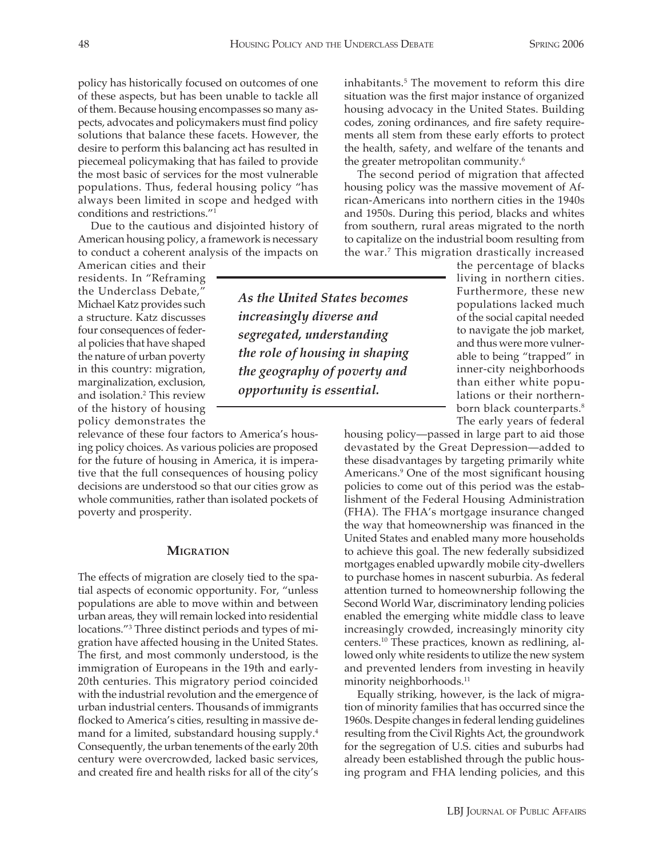policy has historically focused on outcomes of one of these aspects, but has been unable to tackle all of them. Because housing encompasses so many aspects, advocates and policymakers must find policy solutions that balance these facets. However, the desire to perform this balancing act has resulted in piecemeal policymaking that has failed to provide the most basic of services for the most vulnerable populations. Thus, federal housing policy "has

conditions and restrictions."1 Due to the cautious and disjointed history of American housing policy, a framework is necessary to conduct a coherent analysis of the impacts on

always been limited in scope and hedged with

American cities and their residents. In "Reframing the Underclass Debate," Michael Katz provides such a structure. Katz discusses four consequences of federal policies that have shaped the nature of urban poverty in this country: migration, marginalization, exclusion, and isolation.2 This review of the history of housing policy demonstrates the

relevance of these four factors to America's housing policy choices. As various policies are proposed for the future of housing in America, it is imperative that the full consequences of housing policy decisions are understood so that our cities grow as whole communities, rather than isolated pockets of poverty and prosperity.

#### **Migration**

The effects of migration are closely tied to the spatial aspects of economic opportunity. For, "unless populations are able to move within and between urban areas, they will remain locked into residential locations."3 Three distinct periods and types of migration have affected housing in the United States. The first, and most commonly understood, is the immigration of Europeans in the 19th and early-20th centuries. This migratory period coincided with the industrial revolution and the emergence of urban industrial centers. Thousands of immigrants flocked to America's cities, resulting in massive demand for a limited, substandard housing supply.4 Consequently, the urban tenements of the early 20th century were overcrowded, lacked basic services, and created fire and health risks for all of the city's

inhabitants.<sup>5</sup> The movement to reform this dire situation was the first major instance of organized housing advocacy in the United States. Building codes, zoning ordinances, and fire safety requirements all stem from these early efforts to protect the health, safety, and welfare of the tenants and the greater metropolitan community.<sup>6</sup>

The second period of migration that affected housing policy was the massive movement of African-Americans into northern cities in the 1940s and 1950s. During this period, blacks and whites from southern, rural areas migrated to the north to capitalize on the industrial boom resulting from the war.7 This migration drastically increased

> the percentage of blacks living in northern cities. Furthermore, these new populations lacked much of the social capital needed to navigate the job market, and thus were more vulnerable to being "trapped" in inner-city neighborhoods than either white populations or their northernborn black counterparts.<sup>8</sup> The early years of federal

housing policy—passed in large part to aid those devastated by the Great Depression—added to these disadvantages by targeting primarily white Americans.9 One of the most significant housing policies to come out of this period was the establishment of the Federal Housing Administration (FHA). The FHA's mortgage insurance changed the way that homeownership was financed in the United States and enabled many more households to achieve this goal. The new federally subsidized mortgages enabled upwardly mobile city-dwellers to purchase homes in nascent suburbia. As federal attention turned to homeownership following the Second World War, discriminatory lending policies enabled the emerging white middle class to leave increasingly crowded, increasingly minority city centers.10 These practices, known as redlining, allowed only white residents to utilize the new system and prevented lenders from investing in heavily minority neighborhoods.<sup>11</sup>

Equally striking, however, is the lack of migration of minority families that has occurred since the 1960s. Despite changes in federal lending guidelines resulting from the Civil Rights Act, the groundwork for the segregation of U.S. cities and suburbs had already been established through the public housing program and FHA lending policies, and this

### *As the United States becomes increasingly diverse and segregated, understanding the role of housing in shaping the geography of poverty and opportunity is essential.*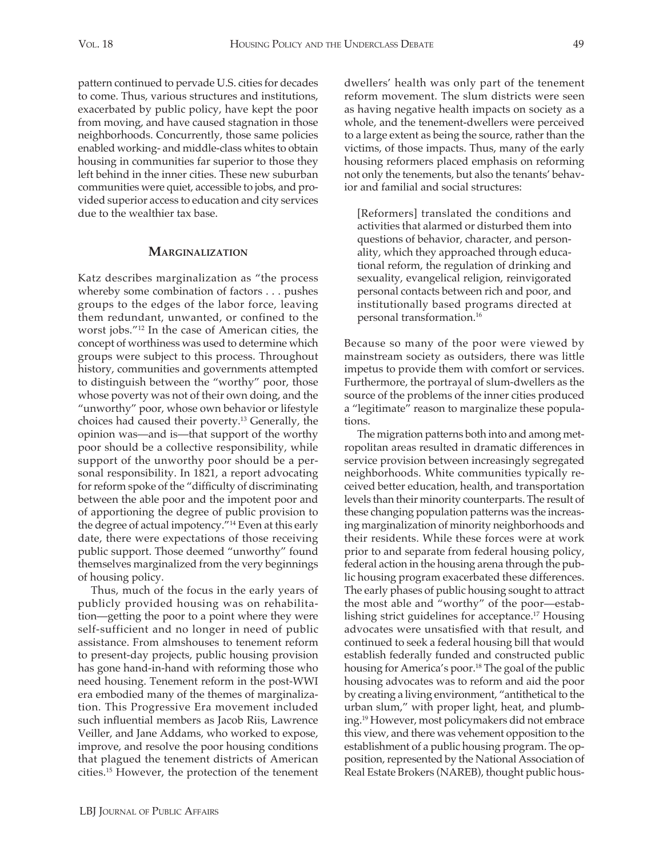pattern continued to pervade U.S. cities for decades to come. Thus, various structures and institutions, exacerbated by public policy, have kept the poor from moving, and have caused stagnation in those neighborhoods. Concurrently, those same policies enabled working- and middle-class whites to obtain housing in communities far superior to those they left behind in the inner cities. These new suburban communities were quiet, accessible to jobs, and provided superior access to education and city services due to the wealthier tax base.

#### **Marginalization**

Katz describes marginalization as "the process whereby some combination of factors . . . pushes groups to the edges of the labor force, leaving them redundant, unwanted, or confined to the worst jobs."12 In the case of American cities, the concept of worthiness was used to determine which groups were subject to this process. Throughout history, communities and governments attempted to distinguish between the "worthy" poor, those whose poverty was not of their own doing, and the "unworthy" poor, whose own behavior or lifestyle choices had caused their poverty.13 Generally, the opinion was—and is—that support of the worthy poor should be a collective responsibility, while support of the unworthy poor should be a personal responsibility. In 1821, a report advocating for reform spoke of the "difficulty of discriminating between the able poor and the impotent poor and of apportioning the degree of public provision to the degree of actual impotency."14 Even at this early date, there were expectations of those receiving public support. Those deemed "unworthy" found themselves marginalized from the very beginnings of housing policy.

Thus, much of the focus in the early years of publicly provided housing was on rehabilitation—getting the poor to a point where they were self-sufficient and no longer in need of public assistance. From almshouses to tenement reform to present-day projects, public housing provision has gone hand-in-hand with reforming those who need housing. Tenement reform in the post-WWI era embodied many of the themes of marginalization. This Progressive Era movement included such influential members as Jacob Riis, Lawrence Veiller, and Jane Addams, who worked to expose, improve, and resolve the poor housing conditions that plagued the tenement districts of American cities.15 However, the protection of the tenement

dwellers' health was only part of the tenement reform movement. The slum districts were seen as having negative health impacts on society as a whole, and the tenement-dwellers were perceived to a large extent as being the source, rather than the victims, of those impacts. Thus, many of the early housing reformers placed emphasis on reforming not only the tenements, but also the tenants' behavior and familial and social structures:

[Reformers] translated the conditions and activities that alarmed or disturbed them into questions of behavior, character, and personality, which they approached through educational reform, the regulation of drinking and sexuality, evangelical religion, reinvigorated personal contacts between rich and poor, and institutionally based programs directed at personal transformation.16

Because so many of the poor were viewed by mainstream society as outsiders, there was little impetus to provide them with comfort or services. Furthermore, the portrayal of slum-dwellers as the source of the problems of the inner cities produced a "legitimate" reason to marginalize these populations.

The migration patterns both into and among metropolitan areas resulted in dramatic differences in service provision between increasingly segregated neighborhoods. White communities typically received better education, health, and transportation levels than their minority counterparts. The result of these changing population patterns was the increasing marginalization of minority neighborhoods and their residents. While these forces were at work prior to and separate from federal housing policy, federal action in the housing arena through the public housing program exacerbated these differences. The early phases of public housing sought to attract the most able and "worthy" of the poor—establishing strict guidelines for acceptance.<sup>17</sup> Housing advocates were unsatisfied with that result, and continued to seek a federal housing bill that would establish federally funded and constructed public housing for America's poor.<sup>18</sup> The goal of the public housing advocates was to reform and aid the poor by creating a living environment, "antithetical to the urban slum," with proper light, heat, and plumbing.19 However, most policymakers did not embrace this view, and there was vehement opposition to the establishment of a public housing program. The opposition, represented by the National Association of Real Estate Brokers (NAREB), thought public hous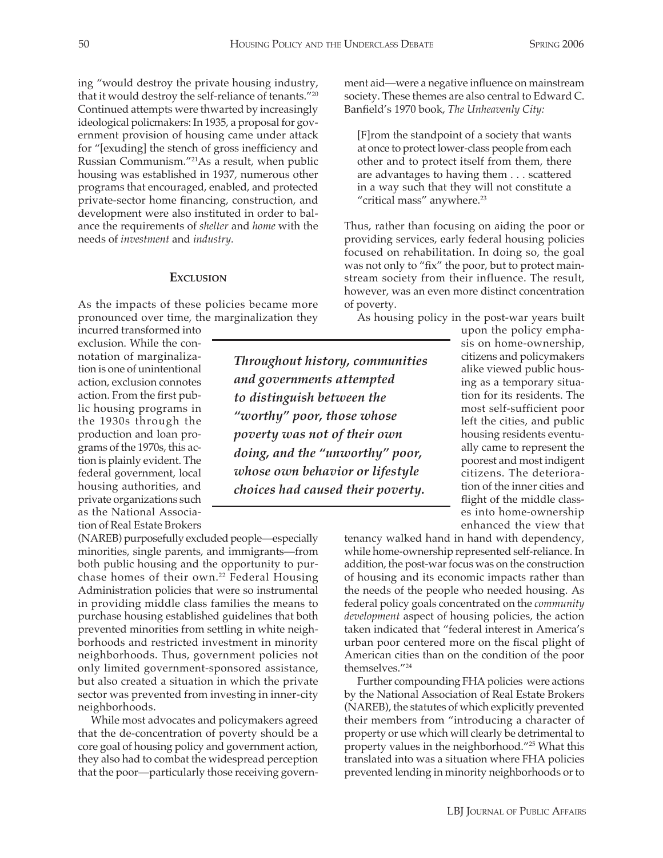ing "would destroy the private housing industry, that it would destroy the self-reliance of tenants."20 Continued attempts were thwarted by increasingly ideological policmakers: In 1935, a proposal for government provision of housing came under attack for "[exuding] the stench of gross inefficiency and Russian Communism."21As a result, when public housing was established in 1937, numerous other programs that encouraged, enabled, and protected private-sector home financing, construction, and development were also instituted in order to balance the requirements of *shelter* and *home* with the needs of *investment* and *industry.*

#### **Exclusion**

As the impacts of these policies became more pronounced over time, the marginalization they

incurred transformed into exclusion. While the connotation of marginalization is one of unintentional action, exclusion connotes action. From the first public housing programs in the 1930s through the production and loan programs of the 1970s, this action is plainly evident. The federal government, local housing authorities, and private organizations such as the National Association of Real Estate Brokers

(NAREB) purposefully excluded people—especially minorities, single parents, and immigrants—from both public housing and the opportunity to purchase homes of their own.22 Federal Housing Administration policies that were so instrumental in providing middle class families the means to purchase housing established guidelines that both prevented minorities from settling in white neighborhoods and restricted investment in minority neighborhoods. Thus, government policies not only limited government-sponsored assistance, but also created a situation in which the private sector was prevented from investing in inner-city neighborhoods.

While most advocates and policymakers agreed that the de-concentration of poverty should be a core goal of housing policy and government action, they also had to combat the widespread perception that the poor—particularly those receiving government aid—were a negative influence on mainstream society. These themes are also central to Edward C. Banfield's 1970 book, *The Unheavenly City:*

[F]rom the standpoint of a society that wants at once to protect lower-class people from each other and to protect itself from them, there are advantages to having them . . . scattered in a way such that they will not constitute a "critical mass" anywhere.<sup>23</sup>

Thus, rather than focusing on aiding the poor or providing services, early federal housing policies focused on rehabilitation. In doing so, the goal was not only to "fix" the poor, but to protect mainstream society from their influence. The result, however, was an even more distinct concentration of poverty.

As housing policy in the post-war years built

*Throughout history, communities and governments attempted to distinguish between the "worthy" poor, those whose poverty was not of their own doing, and the "unworthy" poor, whose own behavior or lifestyle choices had caused their poverty.*

upon the policy emphasis on home-ownership, citizens and policymakers alike viewed public housing as a temporary situation for its residents. The most self-sufficient poor left the cities, and public housing residents eventually came to represent the poorest and most indigent citizens. The deterioration of the inner cities and flight of the middle classes into home-ownership enhanced the view that

tenancy walked hand in hand with dependency, while home-ownership represented self-reliance. In addition, the post-war focus was on the construction of housing and its economic impacts rather than the needs of the people who needed housing. As federal policy goals concentrated on the *community development* aspect of housing policies, the action taken indicated that "federal interest in America's urban poor centered more on the fiscal plight of American cities than on the condition of the poor themselves."24

Further compounding FHA policies were actions by the National Association of Real Estate Brokers (NAREB), the statutes of which explicitly prevented their members from "introducing a character of property or use which will clearly be detrimental to property values in the neighborhood."25 What this translated into was a situation where FHA policies prevented lending in minority neighborhoods or to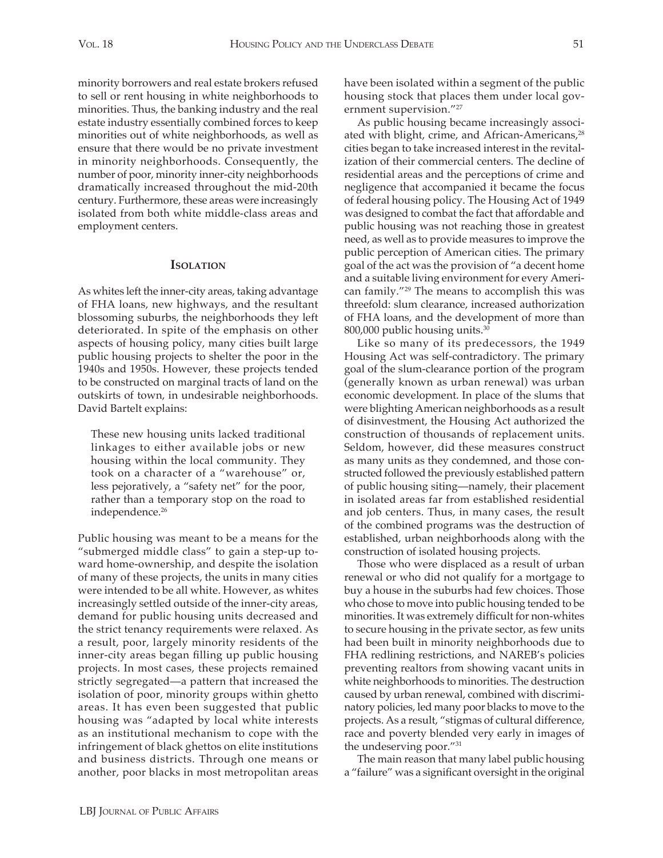minority borrowers and real estate brokers refused to sell or rent housing in white neighborhoods to minorities. Thus, the banking industry and the real estate industry essentially combined forces to keep minorities out of white neighborhoods, as well as ensure that there would be no private investment in minority neighborhoods. Consequently, the number of poor, minority inner-city neighborhoods dramatically increased throughout the mid-20th century. Furthermore, these areas were increasingly isolated from both white middle-class areas and employment centers.

#### **Isolation**

As whites left the inner-city areas, taking advantage of FHA loans, new highways, and the resultant blossoming suburbs, the neighborhoods they left deteriorated. In spite of the emphasis on other aspects of housing policy, many cities built large public housing projects to shelter the poor in the 1940s and 1950s. However, these projects tended to be constructed on marginal tracts of land on the outskirts of town, in undesirable neighborhoods. David Bartelt explains:

These new housing units lacked traditional linkages to either available jobs or new housing within the local community. They took on a character of a "warehouse" or, less pejoratively, a "safety net" for the poor, rather than a temporary stop on the road to independence.<sup>26</sup>

Public housing was meant to be a means for the "submerged middle class" to gain a step-up toward home-ownership, and despite the isolation of many of these projects, the units in many cities were intended to be all white. However, as whites increasingly settled outside of the inner-city areas, demand for public housing units decreased and the strict tenancy requirements were relaxed. As a result, poor, largely minority residents of the inner-city areas began filling up public housing projects. In most cases, these projects remained strictly segregated—a pattern that increased the isolation of poor, minority groups within ghetto areas. It has even been suggested that public housing was "adapted by local white interests as an institutional mechanism to cope with the infringement of black ghettos on elite institutions and business districts. Through one means or another, poor blacks in most metropolitan areas

have been isolated within a segment of the public housing stock that places them under local government supervision."27

As public housing became increasingly associated with blight, crime, and African-Americans,<sup>28</sup> cities began to take increased interest in the revitalization of their commercial centers. The decline of residential areas and the perceptions of crime and negligence that accompanied it became the focus of federal housing policy. The Housing Act of 1949 was designed to combat the fact that affordable and public housing was not reaching those in greatest need, as well as to provide measures to improve the public perception of American cities. The primary goal of the act was the provision of "a decent home and a suitable living environment for every American family."29 The means to accomplish this was threefold: slum clearance, increased authorization of FHA loans, and the development of more than 800,000 public housing units.30

Like so many of its predecessors, the 1949 Housing Act was self-contradictory. The primary goal of the slum-clearance portion of the program (generally known as urban renewal) was urban economic development. In place of the slums that were blighting American neighborhoods as a result of disinvestment, the Housing Act authorized the construction of thousands of replacement units. Seldom, however, did these measures construct as many units as they condemned, and those constructed followed the previously established pattern of public housing siting—namely, their placement in isolated areas far from established residential and job centers. Thus, in many cases, the result of the combined programs was the destruction of established, urban neighborhoods along with the construction of isolated housing projects.

Those who were displaced as a result of urban renewal or who did not qualify for a mortgage to buy a house in the suburbs had few choices. Those who chose to move into public housing tended to be minorities. It was extremely difficult for non-whites to secure housing in the private sector, as few units had been built in minority neighborhoods due to FHA redlining restrictions, and NAREB's policies preventing realtors from showing vacant units in white neighborhoods to minorities. The destruction caused by urban renewal, combined with discriminatory policies, led many poor blacks to move to the projects. As a result, "stigmas of cultural difference, race and poverty blended very early in images of the undeserving poor."31

The main reason that many label public housing a "failure" was a significant oversight in the original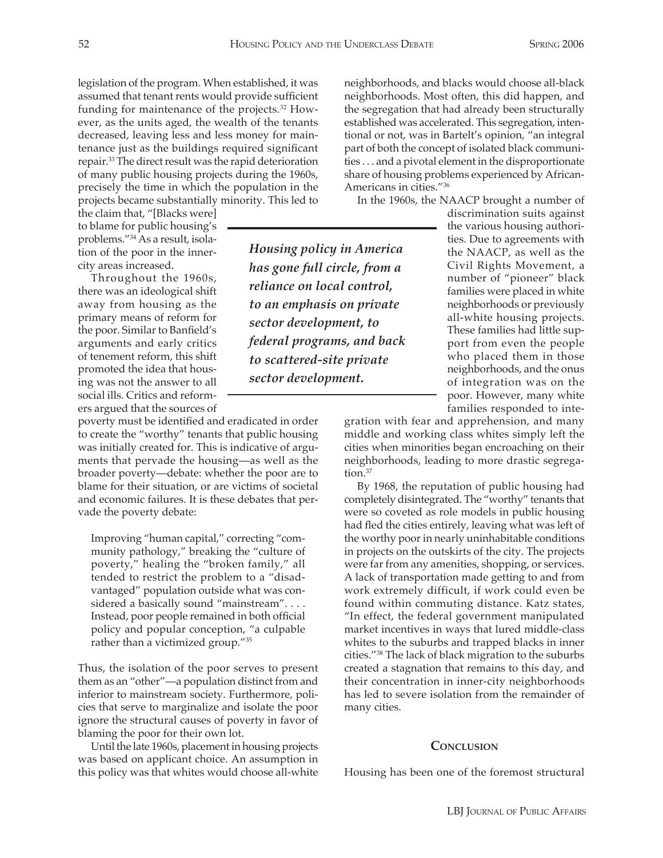legislation of the program. When established, it was assumed that tenant rents would provide sufficient funding for maintenance of the projects.32 However, as the units aged, the wealth of the tenants decreased, leaving less and less money for maintenance just as the buildings required significant repair.33 The direct result was the rapid deterioration of many public housing projects during the 1960s, precisely the time in which the population in the projects became substantially minority. This led to

the claim that, "[Blacks were] to blame for public housing's problems."34 As a result, isolation of the poor in the innercity areas increased.

Throughout the 1960s, there was an ideological shift away from housing as the primary means of reform for the poor. Similar to Banfield's arguments and early critics of tenement reform, this shift promoted the idea that housing was not the answer to all social ills. Critics and reformers argued that the sources of

poverty must be identified and eradicated in order to create the "worthy" tenants that public housing was initially created for. This is indicative of arguments that pervade the housing—as well as the broader poverty—debate: whether the poor are to blame for their situation, or are victims of societal and economic failures. It is these debates that pervade the poverty debate:

Improving "human capital," correcting "community pathology," breaking the "culture of poverty," healing the "broken family," all tended to restrict the problem to a "disadvantaged" population outside what was considered a basically sound "mainstream".... Instead, poor people remained in both official policy and popular conception, "a culpable rather than a victimized group."35

Thus, the isolation of the poor serves to present them as an "other"—a population distinct from and inferior to mainstream society. Furthermore, policies that serve to marginalize and isolate the poor ignore the structural causes of poverty in favor of blaming the poor for their own lot.

Until the late 1960s, placement in housing projects was based on applicant choice. An assumption in this policy was that whites would choose all-white neighborhoods, and blacks would choose all-black neighborhoods. Most often, this did happen, and the segregation that had already been structurally established was accelerated. This segregation, intentional or not, was in Bartelt's opinion, "an integral part of both the concept of isolated black communities . . . and a pivotal element in the disproportionate share of housing problems experienced by African-Americans in cities."36

In the 1960s, the NAACP brought a number of

*Housing policy in America has gone full circle, from a reliance on local control, to an emphasis on private sector development, to federal programs, and back to scattered-site private sector development.*

discrimination suits against the various housing authorities. Due to agreements with the NAACP, as well as the Civil Rights Movement, a number of "pioneer" black families were placed in white neighborhoods or previously all-white housing projects. These families had little support from even the people who placed them in those neighborhoods, and the onus of integration was on the poor. However, many white families responded to inte-

gration with fear and apprehension, and many middle and working class whites simply left the cities when minorities began encroaching on their neighborhoods, leading to more drastic segregation.<sup>37</sup>

By 1968, the reputation of public housing had completely disintegrated. The "worthy" tenants that were so coveted as role models in public housing had fled the cities entirely, leaving what was left of the worthy poor in nearly uninhabitable conditions in projects on the outskirts of the city. The projects were far from any amenities, shopping, or services. A lack of transportation made getting to and from work extremely difficult, if work could even be found within commuting distance. Katz states, "In effect, the federal government manipulated market incentives in ways that lured middle-class whites to the suburbs and trapped blacks in inner cities."38 The lack of black migration to the suburbs created a stagnation that remains to this day, and their concentration in inner-city neighborhoods has led to severe isolation from the remainder of many cities.

#### **Conclusion**

Housing has been one of the foremost structural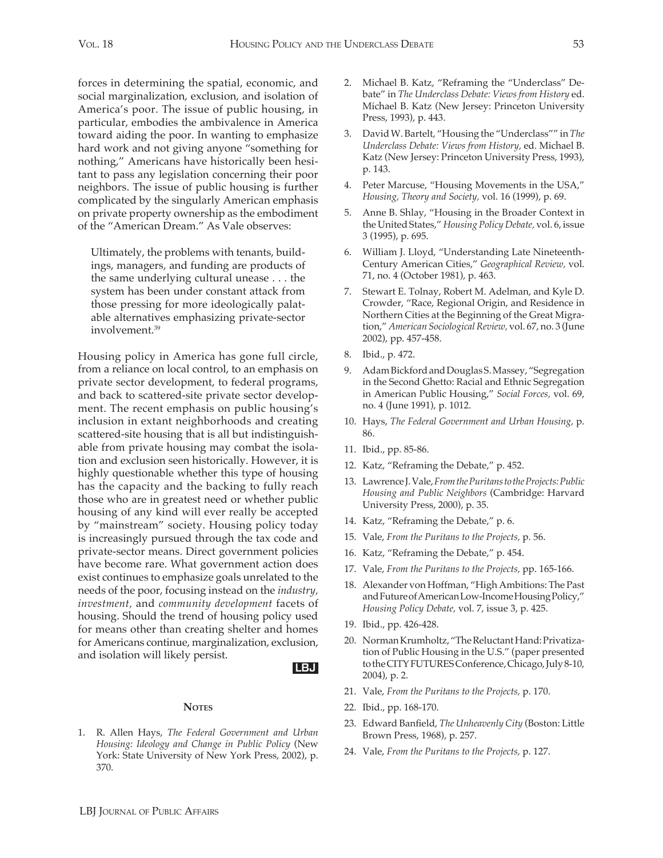forces in determining the spatial, economic, and social marginalization, exclusion, and isolation of America's poor. The issue of public housing, in particular, embodies the ambivalence in America toward aiding the poor. In wanting to emphasize hard work and not giving anyone "something for nothing," Americans have historically been hesitant to pass any legislation concerning their poor neighbors. The issue of public housing is further complicated by the singularly American emphasis on private property ownership as the embodiment of the "American Dream." As Vale observes:

Ultimately, the problems with tenants, buildings, managers, and funding are products of the same underlying cultural unease . . . the system has been under constant attack from those pressing for more ideologically palatable alternatives emphasizing private-sector involvement.39

Housing policy in America has gone full circle, from a reliance on local control, to an emphasis on private sector development, to federal programs, and back to scattered-site private sector development. The recent emphasis on public housing's inclusion in extant neighborhoods and creating scattered-site housing that is all but indistinguishable from private housing may combat the isolation and exclusion seen historically. However, it is highly questionable whether this type of housing has the capacity and the backing to fully reach those who are in greatest need or whether public housing of any kind will ever really be accepted by "mainstream" society. Housing policy today is increasingly pursued through the tax code and private-sector means. Direct government policies have become rare. What government action does exist continues to emphasize goals unrelated to the needs of the poor, focusing instead on the *industry, investment,* and *community development* facets of housing. Should the trend of housing policy used for means other than creating shelter and homes for Americans continue, marginalization, exclusion, and isolation will likely persist.

#### lLBJl

#### **NOTES**

1. R. Allen Hays, *The Federal Government and Urban Housing: Ideology and Change in Public Policy* (New York: State University of New York Press, 2002), p. 370.

- 2. Michael B. Katz, "Reframing the "Underclass" Debate" in *The Underclass Debate: Views from History* ed. Michael B. Katz (New Jersey: Princeton University Press, 1993), p. 443.
- 3. David W. Bartelt, "Housing the "Underclass"" in *The Underclass Debate: Views from History,* ed. Michael B. Katz (New Jersey: Princeton University Press, 1993), p. 143.
- 4. Peter Marcuse, "Housing Movements in the USA," *Housing, Theory and Society,* vol. 16 (1999), p. 69.
- 5. Anne B. Shlay, "Housing in the Broader Context in the United States," *Housing Policy Debate,* vol. 6, issue 3 (1995), p. 695.
- 6. William J. Lloyd, "Understanding Late Nineteenth-Century American Cities," *Geographical Review,* vol. 71, no. 4 (October 1981), p. 463.
- 7. Stewart E. Tolnay, Robert M. Adelman, and Kyle D. Crowder, "Race, Regional Origin, and Residence in Northern Cities at the Beginning of the Great Migration," *American Sociological Review,* vol. 67, no. 3 (June 2002), pp. 457-458.
- 8. Ibid., p. 472.
- 9. Adam Bickford and Douglas S. Massey, "Segregation in the Second Ghetto: Racial and Ethnic Segregation in American Public Housing," *Social Forces,* vol. 69, no. 4 (June 1991), p. 1012.
- 10. Hays, *The Federal Government and Urban Housing,* p. 86.
- 11. Ibid., pp. 85-86.
- 12. Katz, "Reframing the Debate," p. 452.
- 13. Lawrence J. Vale, *From the Puritans to the Projects: Public Housing and Public Neighbors* (Cambridge: Harvard University Press, 2000), p. 35.
- 14. Katz, "Reframing the Debate," p. 6.
- 15. Vale, *From the Puritans to the Projects,* p. 56.
- 16. Katz, "Reframing the Debate," p. 454.
- 17. Vale, *From the Puritans to the Projects,* pp. 165-166.
- 18. Alexander von Hoffman, "High Ambitions: The Past and Future of American Low-Income Housing Policy," *Housing Policy Debate,* vol. 7, issue 3, p. 425.
- 19. Ibid., pp. 426-428.
- 20. Norman Krumholtz, "The Reluctant Hand: Privatization of Public Housing in the U.S." (paper presented to the CITY FUTURES Conference, Chicago, July 8-10, 2004), p. 2.
- 21. Vale, *From the Puritans to the Projects,* p. 170.
- 22. Ibid., pp. 168-170.
- 23. Edward Banfield, *The Unheavenly City* (Boston: Little Brown Press, 1968), p. 257.
- 24. Vale, *From the Puritans to the Projects,* p. 127.